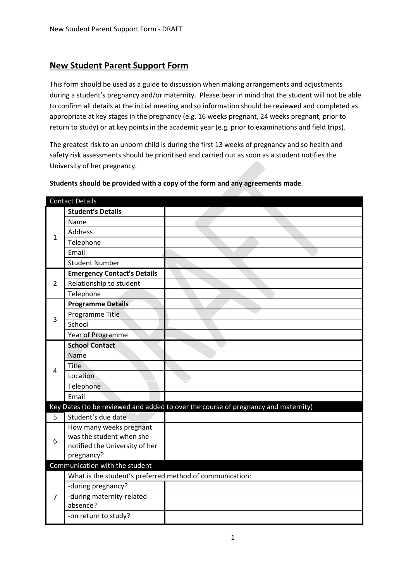# **New Student Parent Support Form**

This form should be used as a guide to discussion when making arrangements and adjustments during a student's pregnancy and/or maternity. Please bear in mind that the student will not be able to confirm all details at the initial meeting and so information should be reviewed and completed as appropriate at key stages in the pregnancy (e.g. 16 weeks pregnant, 24 weeks pregnant, prior to return to study) or at key points in the academic year (e.g. prior to examinations and field trips).

The greatest risk to an unborn child is during the first 13 weeks of pregnancy and so health and safety risk assessments should be prioritised and carried out as soon as a student notifies the University of her pregnancy.

| <b>Contact Details</b> |                                                          |                                                                                    |  |
|------------------------|----------------------------------------------------------|------------------------------------------------------------------------------------|--|
| $\mathbf{1}$           | <b>Student's Details</b>                                 |                                                                                    |  |
|                        | Name                                                     |                                                                                    |  |
|                        | Address                                                  |                                                                                    |  |
|                        | Telephone                                                |                                                                                    |  |
|                        | Email                                                    |                                                                                    |  |
|                        | <b>Student Number</b>                                    |                                                                                    |  |
|                        | <b>Emergency Contact's Details</b>                       |                                                                                    |  |
| $\overline{2}$         | Relationship to student                                  |                                                                                    |  |
|                        | Telephone                                                |                                                                                    |  |
|                        | <b>Programme Details</b>                                 |                                                                                    |  |
| 3                      | Programme Title                                          |                                                                                    |  |
|                        | School                                                   |                                                                                    |  |
|                        | Year of Programme                                        |                                                                                    |  |
|                        | <b>School Contact</b>                                    |                                                                                    |  |
|                        | Name                                                     |                                                                                    |  |
| 4                      | Title                                                    |                                                                                    |  |
|                        | Location                                                 |                                                                                    |  |
|                        | Telephone                                                |                                                                                    |  |
|                        | Email                                                    |                                                                                    |  |
|                        |                                                          | Key Dates (to be reviewed and added to over the course of pregnancy and maternity) |  |
| 5                      | Student's due date                                       |                                                                                    |  |
|                        | How many weeks pregnant                                  |                                                                                    |  |
| 6                      | was the student when she                                 |                                                                                    |  |
|                        | notified the University of her                           |                                                                                    |  |
|                        | pregnancy?                                               |                                                                                    |  |
|                        | Communication with the student                           |                                                                                    |  |
|                        | What is the student's preferred method of communication: |                                                                                    |  |
| $\overline{7}$         | -during pregnancy?                                       |                                                                                    |  |
|                        | -during maternity-related                                |                                                                                    |  |
|                        | absence?                                                 |                                                                                    |  |
|                        | -on return to study?                                     |                                                                                    |  |

#### **Students should be provided with a copy of the form and any agreements made**.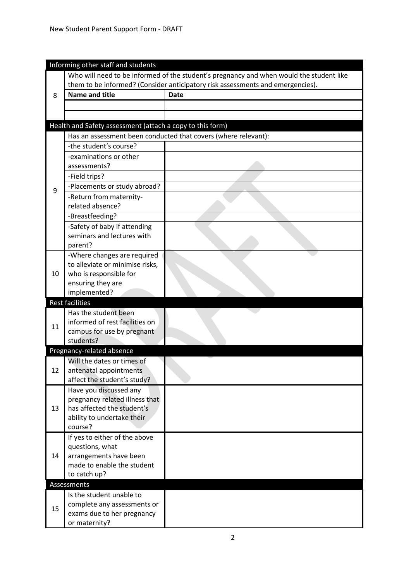| Who will need to be informed of the student's pregnancy and when would the student like<br>them to be informed? (Consider anticipatory risk assessments and emergencies).<br><b>Name and title</b><br><b>Date</b><br>8 |  |
|------------------------------------------------------------------------------------------------------------------------------------------------------------------------------------------------------------------------|--|
|                                                                                                                                                                                                                        |  |
|                                                                                                                                                                                                                        |  |
|                                                                                                                                                                                                                        |  |
|                                                                                                                                                                                                                        |  |
|                                                                                                                                                                                                                        |  |
| Health and Safety assessment (attach a copy to this form)                                                                                                                                                              |  |
| Has an assessment been conducted that covers (where relevant):                                                                                                                                                         |  |
| -the student's course?                                                                                                                                                                                                 |  |
| -examinations or other                                                                                                                                                                                                 |  |
| assessments?                                                                                                                                                                                                           |  |
| -Field trips?                                                                                                                                                                                                          |  |
| -Placements or study abroad?                                                                                                                                                                                           |  |
| 9<br>-Return from maternity-                                                                                                                                                                                           |  |
| related absence?                                                                                                                                                                                                       |  |
| -Breastfeeding?                                                                                                                                                                                                        |  |
| -Safety of baby if attending                                                                                                                                                                                           |  |
| seminars and lectures with                                                                                                                                                                                             |  |
| parent?                                                                                                                                                                                                                |  |
| -Where changes are required                                                                                                                                                                                            |  |
| to alleviate or minimise risks,                                                                                                                                                                                        |  |
| who is responsible for<br>10                                                                                                                                                                                           |  |
| ensuring they are                                                                                                                                                                                                      |  |
| implemented?                                                                                                                                                                                                           |  |
| <b>Rest facilities</b>                                                                                                                                                                                                 |  |
| Has the student been                                                                                                                                                                                                   |  |
| informed of rest facilities on<br>11                                                                                                                                                                                   |  |
| campus for use by pregnant<br>students?                                                                                                                                                                                |  |
| Pregnancy-related absence                                                                                                                                                                                              |  |
| Will the dates or times of                                                                                                                                                                                             |  |
| 12<br>antenatal appointments                                                                                                                                                                                           |  |
| affect the student's study?                                                                                                                                                                                            |  |
| Have you discussed any                                                                                                                                                                                                 |  |
| pregnancy related illness that                                                                                                                                                                                         |  |
| has affected the student's<br>13                                                                                                                                                                                       |  |
| ability to undertake their                                                                                                                                                                                             |  |
| course?                                                                                                                                                                                                                |  |
| If yes to either of the above                                                                                                                                                                                          |  |
| questions, what                                                                                                                                                                                                        |  |
|                                                                                                                                                                                                                        |  |
| 14<br>arrangements have been                                                                                                                                                                                           |  |
| made to enable the student                                                                                                                                                                                             |  |
| to catch up?                                                                                                                                                                                                           |  |
| Assessments                                                                                                                                                                                                            |  |
| Is the student unable to                                                                                                                                                                                               |  |
| complete any assessments or<br>15<br>exams due to her pregnancy                                                                                                                                                        |  |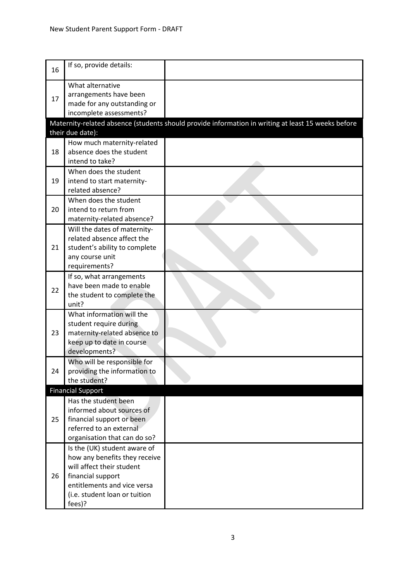| 16 | If so, provide details:                                                                                                                                                                   |                                                                                                    |
|----|-------------------------------------------------------------------------------------------------------------------------------------------------------------------------------------------|----------------------------------------------------------------------------------------------------|
| 17 | What alternative<br>arrangements have been<br>made for any outstanding or<br>incomplete assessments?                                                                                      |                                                                                                    |
|    | their due date):                                                                                                                                                                          | Maternity-related absence (students should provide information in writing at least 15 weeks before |
| 18 | How much maternity-related<br>absence does the student<br>intend to take?                                                                                                                 |                                                                                                    |
| 19 | When does the student<br>intend to start maternity-<br>related absence?                                                                                                                   |                                                                                                    |
| 20 | When does the student<br>intend to return from<br>maternity-related absence?                                                                                                              |                                                                                                    |
| 21 | Will the dates of maternity-<br>related absence affect the<br>student's ability to complete<br>any course unit<br>requirements?                                                           |                                                                                                    |
| 22 | If so, what arrangements<br>have been made to enable<br>the student to complete the<br>unit?                                                                                              |                                                                                                    |
| 23 | What information will the<br>student require during<br>maternity-related absence to<br>keep up to date in course<br>developments?                                                         |                                                                                                    |
| 24 | Who will be responsible for<br>providing the information to<br>the student?                                                                                                               |                                                                                                    |
|    | <b>Financial Support</b>                                                                                                                                                                  |                                                                                                    |
| 25 | Has the student been<br>informed about sources of<br>financial support or been<br>referred to an external<br>organisation that can do so?                                                 |                                                                                                    |
| 26 | Is the (UK) student aware of<br>how any benefits they receive<br>will affect their student<br>financial support<br>entitlements and vice versa<br>(i.e. student loan or tuition<br>fees)? |                                                                                                    |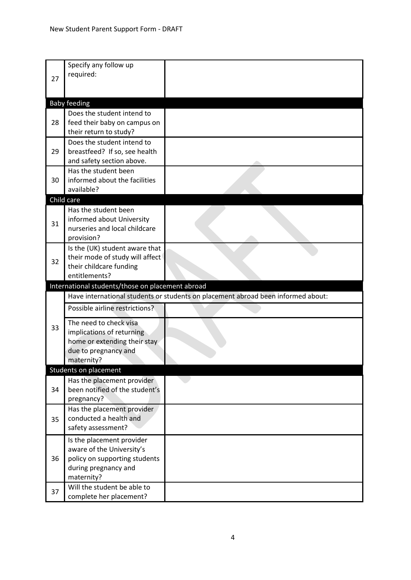| 27 | Specify any follow up<br>required:                     |                                                                                  |
|----|--------------------------------------------------------|----------------------------------------------------------------------------------|
|    | <b>Baby feeding</b>                                    |                                                                                  |
|    | Does the student intend to                             |                                                                                  |
| 28 | feed their baby on campus on                           |                                                                                  |
|    | their return to study?                                 |                                                                                  |
|    | Does the student intend to                             |                                                                                  |
| 29 | breastfeed? If so, see health                          |                                                                                  |
|    | and safety section above.                              |                                                                                  |
|    | Has the student been                                   |                                                                                  |
| 30 | informed about the facilities                          |                                                                                  |
|    | available?                                             |                                                                                  |
|    | Child care<br>Has the student been                     |                                                                                  |
|    | informed about University                              |                                                                                  |
| 31 | nurseries and local childcare                          |                                                                                  |
|    | provision?                                             |                                                                                  |
|    | Is the (UK) student aware that                         |                                                                                  |
| 32 | their mode of study will affect                        |                                                                                  |
|    | their childcare funding                                |                                                                                  |
|    | entitlements?                                          |                                                                                  |
|    | International students/those on placement abroad       |                                                                                  |
|    |                                                        |                                                                                  |
|    |                                                        | Have international students or students on placement abroad been informed about: |
|    | Possible airline restrictions?                         |                                                                                  |
|    | The need to check visa                                 |                                                                                  |
| 33 | implications of returning                              |                                                                                  |
|    | home or extending their stay                           |                                                                                  |
|    | due to pregnancy and                                   |                                                                                  |
|    | maternity?                                             |                                                                                  |
|    | <b>Students on placement</b>                           |                                                                                  |
|    | Has the placement provider                             |                                                                                  |
| 34 | been notified of the student's                         |                                                                                  |
|    | pregnancy?                                             |                                                                                  |
|    | Has the placement provider                             |                                                                                  |
| 35 | conducted a health and<br>safety assessment?           |                                                                                  |
|    |                                                        |                                                                                  |
|    | Is the placement provider<br>aware of the University's |                                                                                  |
| 36 | policy on supporting students                          |                                                                                  |
|    | during pregnancy and                                   |                                                                                  |
|    | maternity?                                             |                                                                                  |
| 37 | Will the student be able to<br>complete her placement? |                                                                                  |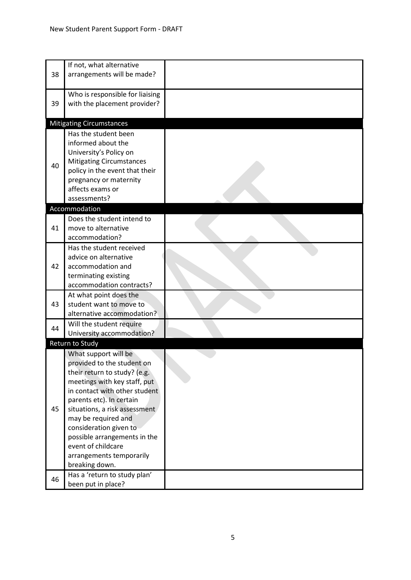| 38 | If not, what alternative<br>arrangements will be made?                                                                                                                                                                                                                                                                                                                |  |
|----|-----------------------------------------------------------------------------------------------------------------------------------------------------------------------------------------------------------------------------------------------------------------------------------------------------------------------------------------------------------------------|--|
| 39 | Who is responsible for liaising<br>with the placement provider?                                                                                                                                                                                                                                                                                                       |  |
|    | <b>Mitigating Circumstances</b>                                                                                                                                                                                                                                                                                                                                       |  |
| 40 | Has the student been<br>informed about the<br>University's Policy on<br><b>Mitigating Circumstances</b><br>policy in the event that their<br>pregnancy or maternity<br>affects exams or<br>assessments?                                                                                                                                                               |  |
|    | Accommodation                                                                                                                                                                                                                                                                                                                                                         |  |
| 41 | Does the student intend to<br>move to alternative<br>accommodation?                                                                                                                                                                                                                                                                                                   |  |
| 42 | Has the student received<br>advice on alternative<br>accommodation and<br>terminating existing<br>accommodation contracts?                                                                                                                                                                                                                                            |  |
| 43 | At what point does the<br>student want to move to<br>alternative accommodation?                                                                                                                                                                                                                                                                                       |  |
| 44 | Will the student require<br>University accommodation?                                                                                                                                                                                                                                                                                                                 |  |
|    | Return to Study                                                                                                                                                                                                                                                                                                                                                       |  |
| 45 | What support will be<br>provided to the student on<br>their return to study? (e.g.<br>meetings with key staff, put<br>in contact with other student<br>parents etc). In certain<br>situations, a risk assessment<br>may be required and<br>consideration given to<br>possible arrangements in the<br>event of childcare<br>arrangements temporarily<br>breaking down. |  |
| 46 | Has a 'return to study plan'<br>been put in place?                                                                                                                                                                                                                                                                                                                    |  |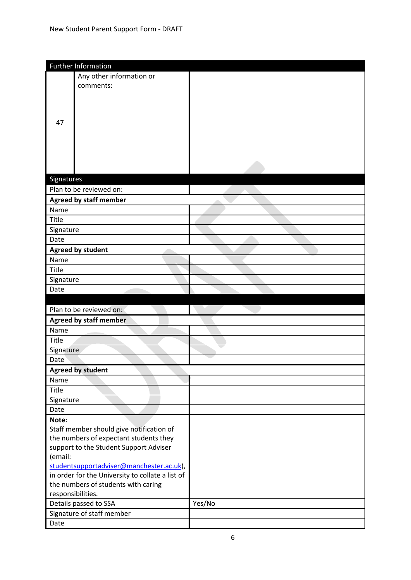|                   | Further Information                              |        |
|-------------------|--------------------------------------------------|--------|
|                   | Any other information or                         |        |
|                   | comments:                                        |        |
|                   |                                                  |        |
|                   |                                                  |        |
|                   |                                                  |        |
| 47                |                                                  |        |
|                   |                                                  |        |
|                   |                                                  |        |
|                   |                                                  |        |
|                   |                                                  |        |
|                   |                                                  |        |
| Signatures        |                                                  |        |
|                   | Plan to be reviewed on:                          |        |
|                   | <b>Agreed by staff member</b>                    |        |
| Name              |                                                  |        |
| Title             |                                                  |        |
| Signature         |                                                  |        |
| Date              |                                                  |        |
|                   |                                                  |        |
|                   | <b>Agreed by student</b>                         |        |
| Name              |                                                  |        |
| Title             |                                                  |        |
| Signature         |                                                  |        |
| Date              |                                                  |        |
|                   |                                                  |        |
|                   | Plan to be reviewed on:                          |        |
|                   | <b>Agreed by staff member</b>                    |        |
| Name              |                                                  |        |
| Title             |                                                  |        |
| Signature         |                                                  |        |
| Date              |                                                  |        |
|                   | <b>Agreed by student</b>                         |        |
| Name              |                                                  |        |
| <b>Title</b>      |                                                  |        |
| Signature         |                                                  |        |
| Date              |                                                  |        |
| Note:             |                                                  |        |
|                   | Staff member should give notification of         |        |
|                   | the numbers of expectant students they           |        |
|                   | support to the Student Support Adviser           |        |
| (email:           |                                                  |        |
|                   | studentsupportadviser@manchester.ac.uk),         |        |
|                   | in order for the University to collate a list of |        |
|                   | the numbers of students with caring              |        |
| responsibilities. |                                                  |        |
|                   | Details passed to SSA                            | Yes/No |
|                   | Signature of staff member                        |        |
| Date              |                                                  |        |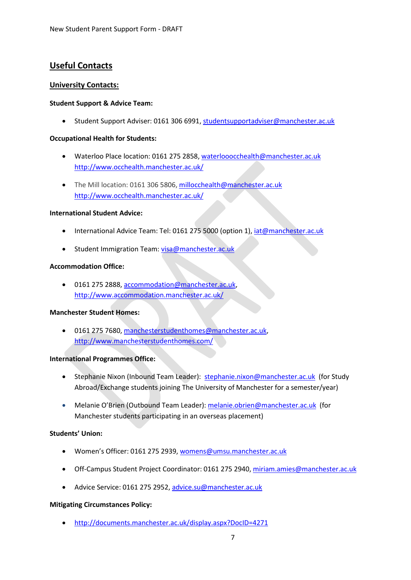# **Useful Contacts**

## **University Contacts:**

### **Student Support & Advice Team:**

• Student Support Adviser: 0161 306 6991, [studentsupportadviser@manchester.ac.uk](mailto:studentsupportadviser@manchester.ac.uk)

### **Occupational Health for Students:**

- Waterloo Place location: 0161 275 2858[, waterlooocchealth@manchester.ac.uk](mailto:waterlooocchealth@manchester.ac.uk) <http://www.occhealth.manchester.ac.uk/>
- The Mill location: 0161 306 5806[, millocchealth@manchester.ac.uk](mailto:millocchealth@manchester.ac.uk) <http://www.occhealth.manchester.ac.uk/>

### **International Student Advice:**

- International Advice Team: Tel: 0161 275 5000 (option 1), [iat@manchester.ac.uk](mailto:iat@manchester.ac.uk)
- Student Immigration Team: [visa@manchester.ac.uk](mailto:visa@manchester.ac.uk)

### **Accommodation Office:**

• 0161 275 2888[, accommodation@manchester.ac.uk,](mailto:accommodation@manchester.ac.uk) <http://www.accommodation.manchester.ac.uk/>

### **Manchester Student Homes:**

• 0161 275 7680[, manchesterstudenthomes@manchester.ac.uk,](mailto:manchesterstudenthomes@manchester.ac.uk) <http://www.manchesterstudenthomes.com/>

### **International Programmes Office:**

- Stephanie Nixon (Inbound Team Leader): [stephanie.nixon@manchester.ac.uk](mailto:stephanie.nixon@manchester.ac.uk) (for Study Abroad/Exchange students joining The University of Manchester for a semester/year)
- Melanie O'Brien (Outbound Team Leader): [melanie.obrien@manchester.ac.uk](mailto:melanie.obrien@manchester.ac.uk) (for Manchester students participating in an overseas placement)

# **Students' Union:**

- Women's Officer: 0161 275 2939[, womens@umsu.manchester.ac.uk](mailto:womens@umsu.manchester.ac.uk)
- Off-Campus Student Project Coordinator: 0161 275 2940[, miriam.amies@manchester.ac.uk](mailto:miriam.amies@manchester.ac.uk)
- Advice Service: 0161 275 2952, [advice.su@manchester.ac.uk](mailto:advice.su@manchester.ac.uk)

# **Mitigating Circumstances Policy:**

• <http://documents.manchester.ac.uk/display.aspx?DocID=4271>